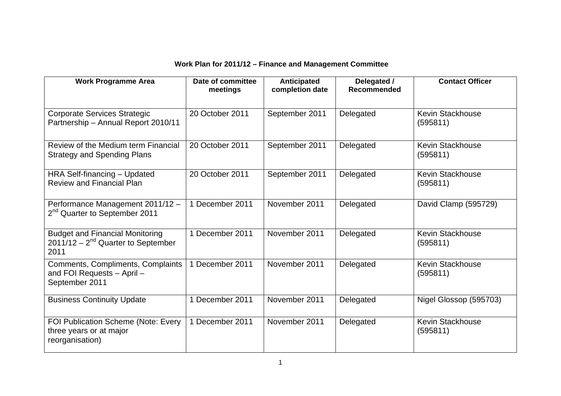## **Work Plan for 2011/12 – Finance and Management Committee**

| <b>Work Programme Area</b>                                                                | Date of committee<br>meetings | <b>Anticipated</b><br>completion date | Delegated /<br><b>Recommended</b> | <b>Contact Officer</b>              |
|-------------------------------------------------------------------------------------------|-------------------------------|---------------------------------------|-----------------------------------|-------------------------------------|
| Corporate Services Strategic<br>Partnership - Annual Report 2010/11                       | 20 October 2011               | September 2011                        | Delegated                         | <b>Kevin Stackhouse</b><br>(595811) |
| Review of the Medium term Financial<br><b>Strategy and Spending Plans</b>                 | 20 October 2011               | September 2011                        | Delegated                         | <b>Kevin Stackhouse</b><br>(595811) |
| HRA Self-financing - Updated<br><b>Review and Financial Plan</b>                          | 20 October 2011               | September 2011                        | Delegated                         | <b>Kevin Stackhouse</b><br>(595811) |
| Performance Management 2011/12 -<br>2 <sup>nd</sup> Quarter to September 2011             | 1 December 2011               | November 2011                         | Delegated                         | David Clamp (595729)                |
| <b>Budget and Financial Monitoring</b><br>$2011/12 - 2^{nd}$ Quarter to September<br>2011 | 1 December 2011               | November 2011                         | Delegated                         | <b>Kevin Stackhouse</b><br>(595811) |
| Comments, Compliments, Complaints<br>and FOI Requests - April -<br>September 2011         | December 2011                 | November 2011                         | Delegated                         | <b>Kevin Stackhouse</b><br>(595811) |
| <b>Business Continuity Update</b>                                                         | 1 December 2011               | November 2011                         | Delegated                         | Nigel Glossop (595703)              |
| <b>FOI Publication Scheme (Note: Every</b><br>three years or at major<br>reorganisation)  | 1 December 2011               | November 2011                         | Delegated                         | <b>Kevin Stackhouse</b><br>(595811) |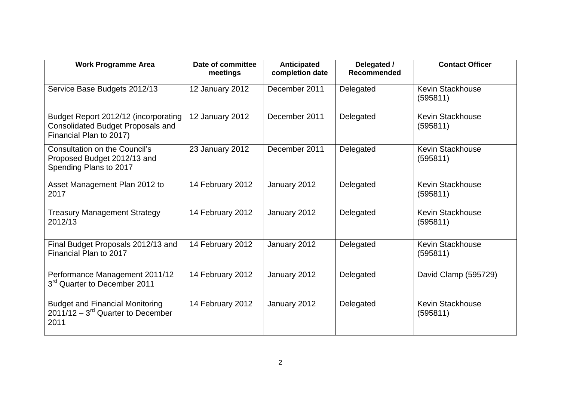| <b>Work Programme Area</b>                                                                                  | Date of committee<br>meetings | <b>Anticipated</b><br>completion date | Delegated /<br><b>Recommended</b> | <b>Contact Officer</b>              |
|-------------------------------------------------------------------------------------------------------------|-------------------------------|---------------------------------------|-----------------------------------|-------------------------------------|
| Service Base Budgets 2012/13                                                                                | 12 January 2012               | December 2011                         | Delegated                         | <b>Kevin Stackhouse</b><br>(595811) |
| Budget Report 2012/12 (incorporating<br><b>Consolidated Budget Proposals and</b><br>Financial Plan to 2017) | 12 January 2012               | December 2011                         | Delegated                         | <b>Kevin Stackhouse</b><br>(595811) |
| <b>Consultation on the Council's</b><br>Proposed Budget 2012/13 and<br>Spending Plans to 2017               | 23 January 2012               | December 2011                         | Delegated                         | <b>Kevin Stackhouse</b><br>(595811) |
| Asset Management Plan 2012 to<br>2017                                                                       | 14 February 2012              | January 2012                          | Delegated                         | <b>Kevin Stackhouse</b><br>(595811) |
| <b>Treasury Management Strategy</b><br>2012/13                                                              | 14 February 2012              | January 2012                          | Delegated                         | <b>Kevin Stackhouse</b><br>(595811) |
| Final Budget Proposals 2012/13 and<br>Financial Plan to 2017                                                | 14 February 2012              | January 2012                          | Delegated                         | <b>Kevin Stackhouse</b><br>(595811) |
| Performance Management 2011/12<br>3 <sup>rd</sup> Quarter to December 2011                                  | 14 February 2012              | January 2012                          | Delegated                         | David Clamp (595729)                |
| <b>Budget and Financial Monitoring</b><br>$2011/12 - 3^{rd}$ Quarter to December<br>2011                    | 14 February 2012              | January 2012                          | Delegated                         | <b>Kevin Stackhouse</b><br>(595811) |